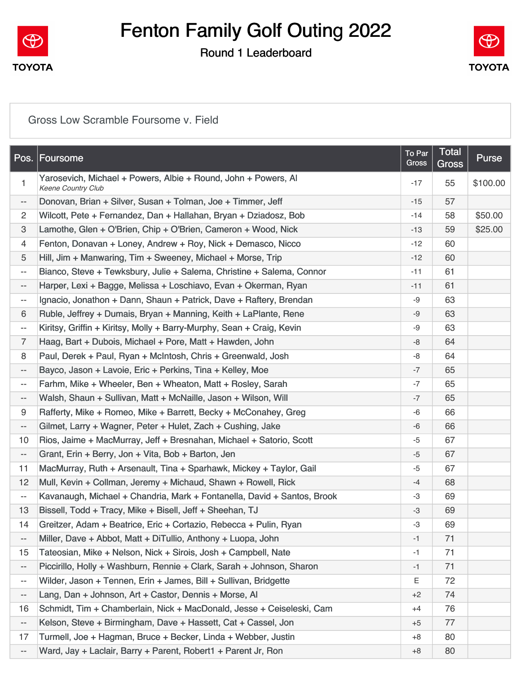

### Round 1 Leaderboard



#### [Gross Low Scramble Foursome v. Field](https://static.golfgenius.com/v2tournaments/8535081381041035031?called_from=&round_index=1)

|                          | Pos. Foursome                                                                               | To Par<br>Gross | <b>Total</b><br>Gross | <b>Purse</b> |
|--------------------------|---------------------------------------------------------------------------------------------|-----------------|-----------------------|--------------|
| $\mathbf{1}$             | Yarosevich, Michael + Powers, Albie + Round, John + Powers, Al<br><b>Keene Country Club</b> | $-17$           | 55                    | \$100.00     |
| $\overline{\phantom{a}}$ | Donovan, Brian + Silver, Susan + Tolman, Joe + Timmer, Jeff                                 | $-15$           | 57                    |              |
| $\overline{c}$           | Wilcott, Pete + Fernandez, Dan + Hallahan, Bryan + Dziadosz, Bob                            | $-14$           | 58                    | \$50.00      |
| 3                        | Lamothe, Glen + O'Brien, Chip + O'Brien, Cameron + Wood, Nick                               | $-13$           | 59                    | \$25.00      |
| 4                        | Fenton, Donavan + Loney, Andrew + Roy, Nick + Demasco, Nicco                                | $-12$           | 60                    |              |
| 5                        | Hill, Jim + Manwaring, Tim + Sweeney, Michael + Morse, Trip                                 | $-12$           | 60                    |              |
| $\overline{\phantom{a}}$ | Bianco, Steve + Tewksbury, Julie + Salema, Christine + Salema, Connor                       | $-11$           | 61                    |              |
| $- -$                    | Harper, Lexi + Bagge, Melissa + Loschiavo, Evan + Okerman, Ryan                             | $-11$           | 61                    |              |
| $\overline{\phantom{a}}$ | Ignacio, Jonathon + Dann, Shaun + Patrick, Dave + Raftery, Brendan                          | -9              | 63                    |              |
| 6                        | Ruble, Jeffrey + Dumais, Bryan + Manning, Keith + LaPlante, Rene                            | -9              | 63                    |              |
| $\overline{\phantom{a}}$ | Kiritsy, Griffin + Kiritsy, Molly + Barry-Murphy, Sean + Craig, Kevin                       | -9              | 63                    |              |
| $\overline{7}$           | Haag, Bart + Dubois, Michael + Pore, Matt + Hawden, John                                    | -8              | 64                    |              |
| 8                        | Paul, Derek + Paul, Ryan + McIntosh, Chris + Greenwald, Josh                                | -8              | 64                    |              |
| $\overline{\phantom{a}}$ | Bayco, Jason + Lavoie, Eric + Perkins, Tina + Kelley, Moe                                   | $-7$            | 65                    |              |
| --                       | Farhm, Mike + Wheeler, Ben + Wheaton, Matt + Rosley, Sarah                                  | -7              | 65                    |              |
| $\overline{\phantom{a}}$ | Walsh, Shaun + Sullivan, Matt + McNaille, Jason + Wilson, Will                              | $-7$            | 65                    |              |
| 9                        | Rafferty, Mike + Romeo, Mike + Barrett, Becky + McConahey, Greg                             | -6              | 66                    |              |
| $\overline{\phantom{a}}$ | Gilmet, Larry + Wagner, Peter + Hulet, Zach + Cushing, Jake                                 | -6              | 66                    |              |
| 10                       | Rios, Jaime + MacMurray, Jeff + Bresnahan, Michael + Satorio, Scott                         | -5              | 67                    |              |
| $\overline{\phantom{a}}$ | Grant, Erin + Berry, Jon + Vita, Bob + Barton, Jen                                          | $-5$            | 67                    |              |
| 11                       | MacMurray, Ruth + Arsenault, Tina + Sparhawk, Mickey + Taylor, Gail                         | -5              | 67                    |              |
| 12                       | Mull, Kevin + Collman, Jeremy + Michaud, Shawn + Rowell, Rick                               | $-4$            | 68                    |              |
| $\overline{\phantom{a}}$ | Kavanaugh, Michael + Chandria, Mark + Fontanella, David + Santos, Brook                     | -3              | 69                    |              |
| 13                       | Bissell, Todd + Tracy, Mike + Bisell, Jeff + Sheehan, TJ                                    | $-3$            | 69                    |              |
| 14                       | Greitzer, Adam + Beatrice, Eric + Cortazio, Rebecca + Pulin, Ryan                           | -3              | 69                    |              |
| $\overline{\phantom{a}}$ | Miller, Dave + Abbot, Matt + DiTullio, Anthony + Luopa, John                                | -1              | 71                    |              |
| 15                       | Tateosian, Mike + Nelson, Nick + Sirois, Josh + Campbell, Nate                              | -1              | 71                    |              |
| $\overline{\phantom{a}}$ | Piccirillo, Holly + Washburn, Rennie + Clark, Sarah + Johnson, Sharon                       | -1              | 71                    |              |
| $\overline{\phantom{a}}$ | Wilder, Jason + Tennen, Erin + James, Bill + Sullivan, Bridgette                            | Ε               | 72                    |              |
| $\overline{\phantom{a}}$ | Lang, Dan + Johnson, Art + Castor, Dennis + Morse, Al                                       | $+2$            | 74                    |              |
| 16                       | Schmidt, Tim + Chamberlain, Nick + MacDonald, Jesse + Ceiseleski, Cam                       | $+4$            | 76                    |              |
| $\overline{\phantom{a}}$ | Kelson, Steve + Birmingham, Dave + Hassett, Cat + Cassel, Jon                               | $+5$            | 77                    |              |
| 17                       | Turmell, Joe + Hagman, Bruce + Becker, Linda + Webber, Justin                               | +8              | 80                    |              |
| $\overline{\phantom{a}}$ | Ward, Jay + Laclair, Barry + Parent, Robert1 + Parent Jr, Ron                               | $+8$            | 80                    |              |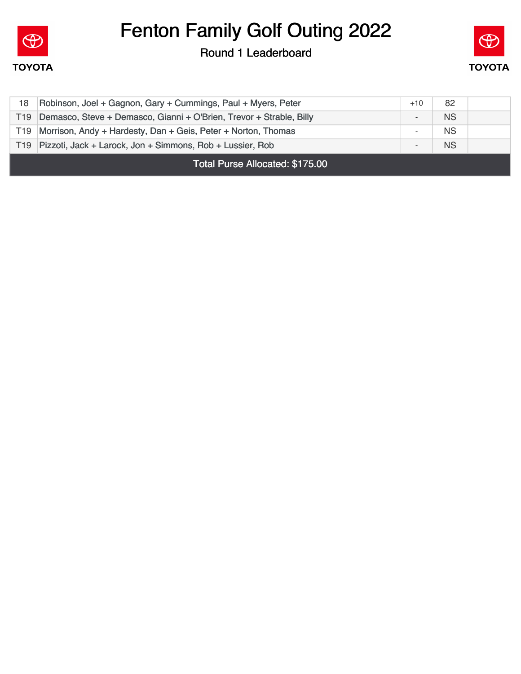

Round 1 Leaderboard



| 18                              | Robinson, Joel + Gagnon, Gary + Cummings, Paul + Myers, Peter       | $+10$ | 82        |  |
|---------------------------------|---------------------------------------------------------------------|-------|-----------|--|
| T19                             | Demasco, Steve + Demasco, Gianni + O'Brien, Trevor + Strable, Billy |       | <b>NS</b> |  |
|                                 | T19 Morrison, Andy + Hardesty, Dan + Geis, Peter + Norton, Thomas   |       | <b>NS</b> |  |
|                                 | T19 Pizzoti, Jack + Larock, Jon + Simmons, Rob + Lussier, Rob       |       | <b>NS</b> |  |
| Total Purse Allocated: \$175.00 |                                                                     |       |           |  |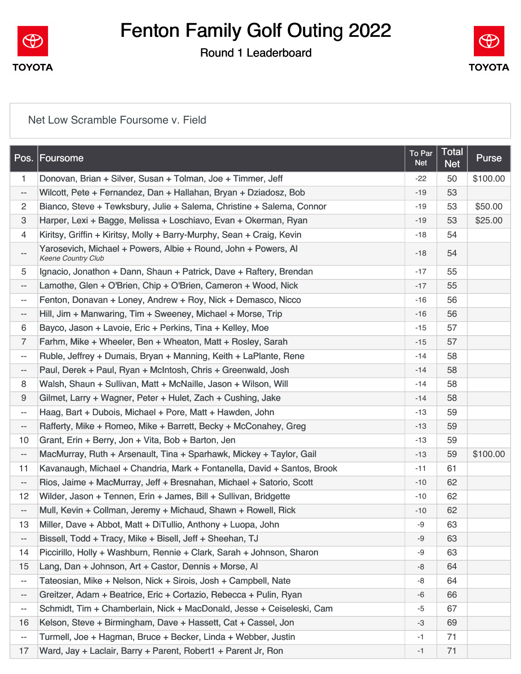

### Round 1 Leaderboard



#### [Net Low Scramble Foursome v. Field](https://static.golfgenius.com/v2tournaments/8535081387382822680?called_from=&round_index=1)

| Pos.                     | <b>Foursome</b>                                                                      | To Par<br><b>Net</b> | <b>Total</b><br><b>Net</b> | <b>Purse</b> |
|--------------------------|--------------------------------------------------------------------------------------|----------------------|----------------------------|--------------|
| $\mathbf{1}$             | Donovan, Brian + Silver, Susan + Tolman, Joe + Timmer, Jeff                          | $-22$                | 50                         | \$100.00     |
| $\overline{\phantom{a}}$ | Wilcott, Pete + Fernandez, Dan + Hallahan, Bryan + Dziadosz, Bob                     | $-19$                | 53                         |              |
| $\overline{c}$           | Bianco, Steve + Tewksbury, Julie + Salema, Christine + Salema, Connor                | $-19$                | 53                         | \$50.00      |
| 3                        | Harper, Lexi + Bagge, Melissa + Loschiavo, Evan + Okerman, Ryan                      | $-19$                | 53                         | \$25.00      |
| $\overline{4}$           | Kiritsy, Griffin + Kiritsy, Molly + Barry-Murphy, Sean + Craig, Kevin                | $-18$                | 54                         |              |
| --                       | Yarosevich, Michael + Powers, Albie + Round, John + Powers, Al<br>Keene Country Club | $-18$                | 54                         |              |
| 5                        | Ignacio, Jonathon + Dann, Shaun + Patrick, Dave + Raftery, Brendan                   | $-17$                | 55                         |              |
| $\overline{\phantom{a}}$ | Lamothe, Glen + O'Brien, Chip + O'Brien, Cameron + Wood, Nick                        | $-17$                | 55                         |              |
| $\overline{\phantom{a}}$ | Fenton, Donavan + Loney, Andrew + Roy, Nick + Demasco, Nicco                         | $-16$                | 56                         |              |
| --                       | Hill, Jim + Manwaring, Tim + Sweeney, Michael + Morse, Trip                          | $-16$                | 56                         |              |
| 6                        | Bayco, Jason + Lavoie, Eric + Perkins, Tina + Kelley, Moe                            | $-15$                | 57                         |              |
| $\overline{7}$           | Farhm, Mike + Wheeler, Ben + Wheaton, Matt + Rosley, Sarah                           | $-15$                | 57                         |              |
| $\overline{\phantom{a}}$ | Ruble, Jeffrey + Dumais, Bryan + Manning, Keith + LaPlante, Rene                     | $-14$                | 58                         |              |
| --                       | Paul, Derek + Paul, Ryan + McIntosh, Chris + Greenwald, Josh                         | $-14$                | 58                         |              |
| 8                        | Walsh, Shaun + Sullivan, Matt + McNaille, Jason + Wilson, Will                       | $-14$                | 58                         |              |
| 9                        | Gilmet, Larry + Wagner, Peter + Hulet, Zach + Cushing, Jake                          | $-14$                | 58                         |              |
| $\overline{\phantom{a}}$ | Haag, Bart + Dubois, Michael + Pore, Matt + Hawden, John                             | $-13$                | 59                         |              |
| --                       | Rafferty, Mike + Romeo, Mike + Barrett, Becky + McConahey, Greg                      | $-13$                | 59                         |              |
| 10                       | Grant, Erin + Berry, Jon + Vita, Bob + Barton, Jen                                   | $-13$                | 59                         |              |
| --                       | MacMurray, Ruth + Arsenault, Tina + Sparhawk, Mickey + Taylor, Gail                  | $-13$                | 59                         | \$100.00     |
| 11                       | Kavanaugh, Michael + Chandria, Mark + Fontanella, David + Santos, Brook              | $-11$                | 61                         |              |
| $\overline{\phantom{a}}$ | Rios, Jaime + MacMurray, Jeff + Bresnahan, Michael + Satorio, Scott                  | $-10$                | 62                         |              |
| 12                       | Wilder, Jason + Tennen, Erin + James, Bill + Sullivan, Bridgette                     | $-10$                | 62                         |              |
| $\overline{\phantom{a}}$ | Mull, Kevin + Collman, Jeremy + Michaud, Shawn + Rowell, Rick                        | $-10$                | 62                         |              |
| 13                       | Miller, Dave + Abbot, Matt + DiTullio, Anthony + Luopa, John                         | -9                   | 63                         |              |
| --                       | Bissell, Todd + Tracy, Mike + Bisell, Jeff + Sheehan, TJ                             | -9                   | 63                         |              |
| 14                       | Piccirillo, Holly + Washburn, Rennie + Clark, Sarah + Johnson, Sharon                | -9                   | 63                         |              |
| 15                       | Lang, Dan + Johnson, Art + Castor, Dennis + Morse, Al                                | -8                   | 64                         |              |
| $\overline{\phantom{a}}$ | Tateosian, Mike + Nelson, Nick + Sirois, Josh + Campbell, Nate                       | -8                   | 64                         |              |
| --                       | Greitzer, Adam + Beatrice, Eric + Cortazio, Rebecca + Pulin, Ryan                    | -6                   | 66                         |              |
| --                       | Schmidt, Tim + Chamberlain, Nick + MacDonald, Jesse + Ceiseleski, Cam                | $-5$                 | 67                         |              |
| 16                       | Kelson, Steve + Birmingham, Dave + Hassett, Cat + Cassel, Jon                        | $-3$                 | 69                         |              |
| $\overline{\phantom{a}}$ | Turmell, Joe + Hagman, Bruce + Becker, Linda + Webber, Justin                        | $-1$                 | 71                         |              |
| 17                       | Ward, Jay + Laclair, Barry + Parent, Robert1 + Parent Jr, Ron                        | $-1$                 | 71                         |              |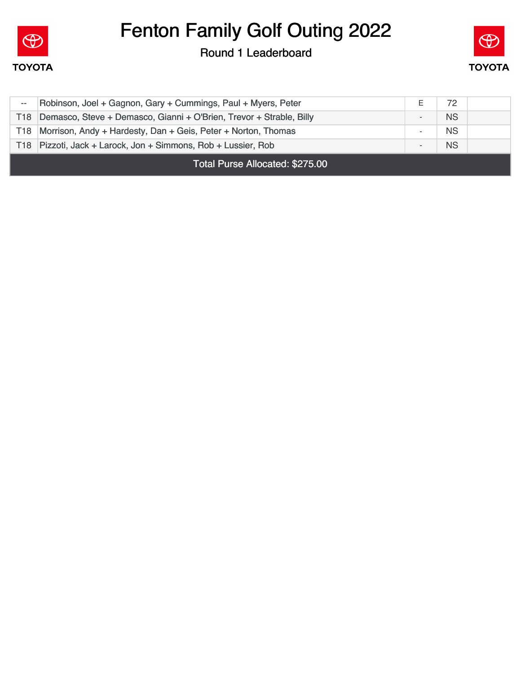

Round 1 Leaderboard



| Total Purse Allocated: \$275.00 |                                                                         |                          |           |  |
|---------------------------------|-------------------------------------------------------------------------|--------------------------|-----------|--|
|                                 | T18 Pizzoti, Jack + Larock, Jon + Simmons, Rob + Lussier, Rob           | -                        | <b>NS</b> |  |
|                                 | T18 Morrison, Andy + Hardesty, Dan + Geis, Peter + Norton, Thomas       | $\overline{\phantom{a}}$ | <b>NS</b> |  |
|                                 | T18 Demasco, Steve + Demasco, Gianni + O'Brien, Trevor + Strable, Billy | -                        | <b>NS</b> |  |
| $- -$                           | Robinson, Joel + Gagnon, Gary + Cummings, Paul + Myers, Peter           |                          | 72        |  |